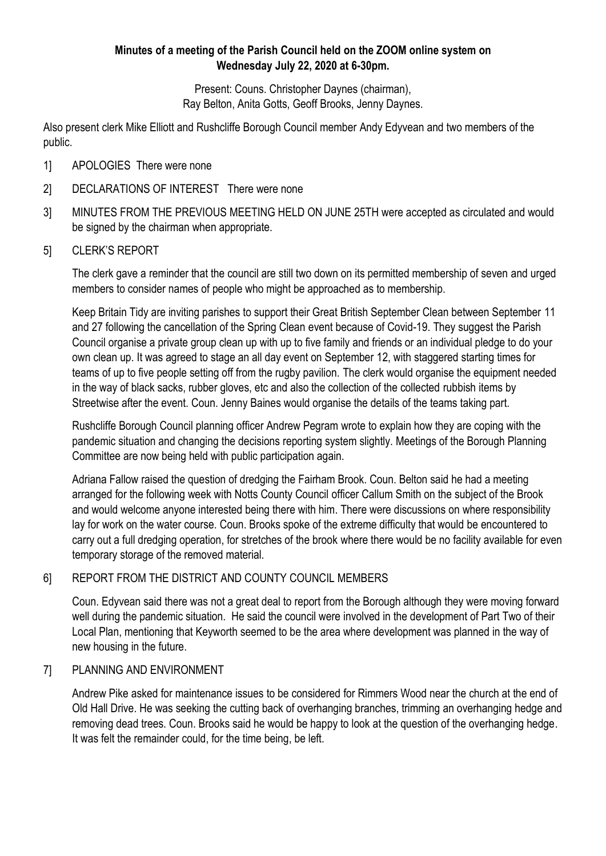## **Minutes of a meeting of the Parish Council held on the ZOOM online system on Wednesday July 22, 2020 at 6-30pm.**

Present: Couns. Christopher Daynes (chairman), Ray Belton, Anita Gotts, Geoff Brooks, Jenny Daynes.

Also present clerk Mike Elliott and Rushcliffe Borough Council member Andy Edyvean and two members of the public.

- 1] APOLOGIES There were none
- 2] DECLARATIONS OF INTEREST There were none
- 3] MINUTES FROM THE PREVIOUS MEETING HELD ON JUNE 25TH were accepted as circulated and would be signed by the chairman when appropriate.
- 5] CLERK'S REPORT

The clerk gave a reminder that the council are still two down on its permitted membership of seven and urged members to consider names of people who might be approached as to membership.

Keep Britain Tidy are inviting parishes to support their Great British September Clean between September 11 and 27 following the cancellation of the Spring Clean event because of Covid-19. They suggest the Parish Council organise a private group clean up with up to five family and friends or an individual pledge to do your own clean up. It was agreed to stage an all day event on September 12, with staggered starting times for teams of up to five people setting off from the rugby pavilion. The clerk would organise the equipment needed in the way of black sacks, rubber gloves, etc and also the collection of the collected rubbish items by Streetwise after the event. Coun. Jenny Baines would organise the details of the teams taking part.

Rushcliffe Borough Council planning officer Andrew Pegram wrote to explain how they are coping with the pandemic situation and changing the decisions reporting system slightly. Meetings of the Borough Planning Committee are now being held with public participation again.

Adriana Fallow raised the question of dredging the Fairham Brook. Coun. Belton said he had a meeting arranged for the following week with Notts County Council officer Callum Smith on the subject of the Brook and would welcome anyone interested being there with him. There were discussions on where responsibility lay for work on the water course. Coun. Brooks spoke of the extreme difficulty that would be encountered to carry out a full dredging operation, for stretches of the brook where there would be no facility available for even temporary storage of the removed material.

## 6] REPORT FROM THE DISTRICT AND COUNTY COUNCIL MEMBERS

Coun. Edyvean said there was not a great deal to report from the Borough although they were moving forward well during the pandemic situation. He said the council were involved in the development of Part Two of their Local Plan, mentioning that Keyworth seemed to be the area where development was planned in the way of new housing in the future.

## 7] PLANNING AND ENVIRONMENT

Andrew Pike asked for maintenance issues to be considered for Rimmers Wood near the church at the end of Old Hall Drive. He was seeking the cutting back of overhanging branches, trimming an overhanging hedge and removing dead trees. Coun. Brooks said he would be happy to look at the question of the overhanging hedge. It was felt the remainder could, for the time being, be left.